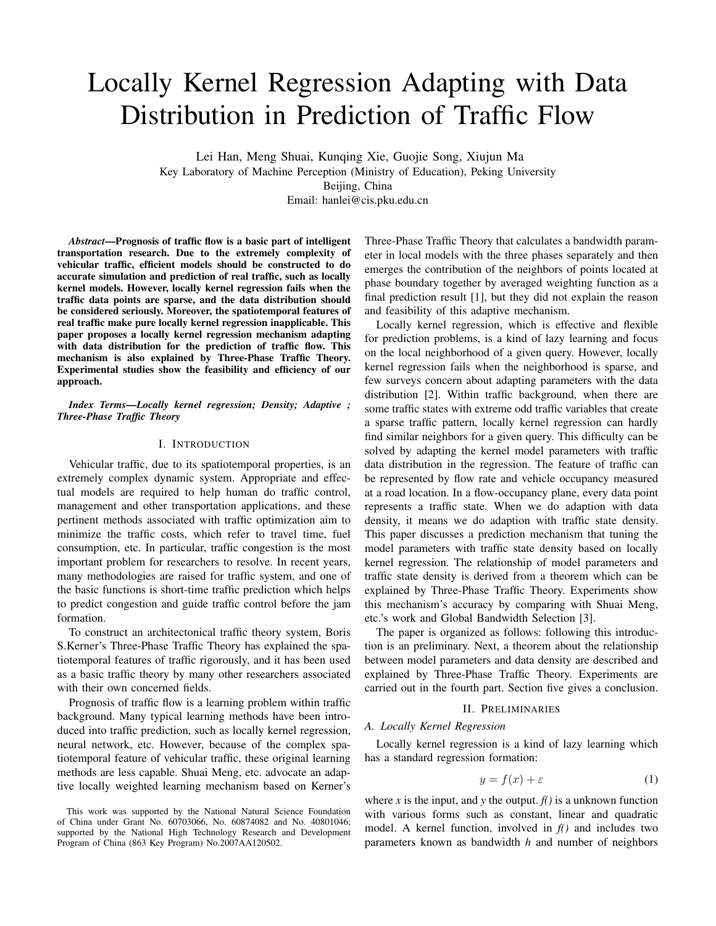# Locally Kernel Regression Adapting with Data Distribution in Prediction of Traffic Flow

Lei Han, Meng Shuai, Kunqing Xie, Guojie Song, Xiujun Ma Key Laboratory of Machine Perception (Ministry of Education), Peking University Beijing, China Email: hanlei@cis.pku.edu.cn

*Abstract***—Prognosis of traffic flow is a basic part of intelligent transportation research. Due to the extremely complexity of vehicular traffic, efficient models should be constructed to do accurate simulation and prediction of real traffic, such as locally kernel models. However, locally kernel regression fails when the traffic data points are sparse, and the data distribution should be considered seriously. Moreover, the spatiotemporal features of real traffic make pure locally kernel regression inapplicable. This paper proposes a locally kernel regression mechanism adapting with data distribution for the prediction of traffic flow. This mechanism is also explained by Three-Phase Traffic Theory. Experimental studies show the feasibility and efficiency of our approach.**

*Index Terms***—***Locally kernel regression; Density; Adaptive ; Three-Phase Traffic Theory*

## I. INTRODUCTION

Vehicular traffic, due to its spatiotemporal properties, is an extremely complex dynamic system. Appropriate and effectual models are required to help human do traffic control, management and other transportation applications, and these pertinent methods associated with traffic optimization aim to minimize the traffic costs, which refer to travel time, fuel consumption, etc. In particular, traffic congestion is the most important problem for researchers to resolve. In recent years, many methodologies are raised for traffic system, and one of the basic functions is short-time traffic prediction which helps to predict congestion and guide traffic control before the jam formation.

To construct an architectonical traffic theory system, Boris S.Kerner's Three-Phase Traffic Theory has explained the spatiotemporal features of traffic rigorously, and it has been used as a basic traffic theory by many other researchers associated with their own concerned fields.

Prognosis of traffic flow is a learning problem within traffic background. Many typical learning methods have been introduced into traffic prediction, such as locally kernel regression, neural network, etc. However, because of the complex spatiotemporal feature of vehicular traffic, these original learning methods are less capable. Shuai Meng, etc. advocate an adaptive locally weighted learning mechanism based on Kerner's

This work was supported by the National Natural Science Foundation of China under Grant No. 60703066, No. 60874082 and No. 40801046; supported by the National High Technology Research and Development Program of China (863 Key Program) No.2007AA120502.

Three-Phase Traffic Theory that calculates a bandwidth parameter in local models with the three phases separately and then emerges the contribution of the neighbors of points located at phase boundary together by averaged weighting function as a final prediction result [1], but they did not explain the reason and feasibility of this adaptive mechanism.

Locally kernel regression, which is effective and flexible for prediction problems, is a kind of lazy learning and focus on the local neighborhood of a given query. However, locally kernel regression fails when the neighborhood is sparse, and few surveys concern about adapting parameters with the data distribution [2]. Within traffic background, when there are some traffic states with extreme odd traffic variables that create a sparse traffic pattern, locally kernel regression can hardly find similar neighbors for a given query. This difficulty can be solved by adapting the kernel model parameters with traffic data distribution in the regression. The feature of traffic can be represented by flow rate and vehicle occupancy measured at a road location. In a flow-occupancy plane, every data point represents a traffic state. When we do adaption with data density, it means we do adaption with traffic state density. This paper discusses a prediction mechanism that tuning the model parameters with traffic state density based on locally kernel regression. The relationship of model parameters and traffic state density is derived from a theorem which can be explained by Three-Phase Traffic Theory. Experiments show this mechanism's accuracy by comparing with Shuai Meng, etc.'s work and Global Bandwidth Selection [3].

The paper is organized as follows: following this introduction is an preliminary. Next, a theorem about the relationship between model parameters and data density are described and explained by Three-Phase Traffic Theory. Experiments are carried out in the fourth part. Section five gives a conclusion.

#### II. PRELIMINARIES

# *A. Locally Kernel Regression*

Locally kernel regression is a kind of lazy learning which has a standard regression formation:

$$
y = f(x) + \varepsilon \tag{1}
$$

where *x* is the input, and *y* the output.  $f(j)$  is a unknown function with various forms such as constant, linear and quadratic model. A kernel function, involved in *f()* and includes two parameters known as bandwidth *h* and number of neighbors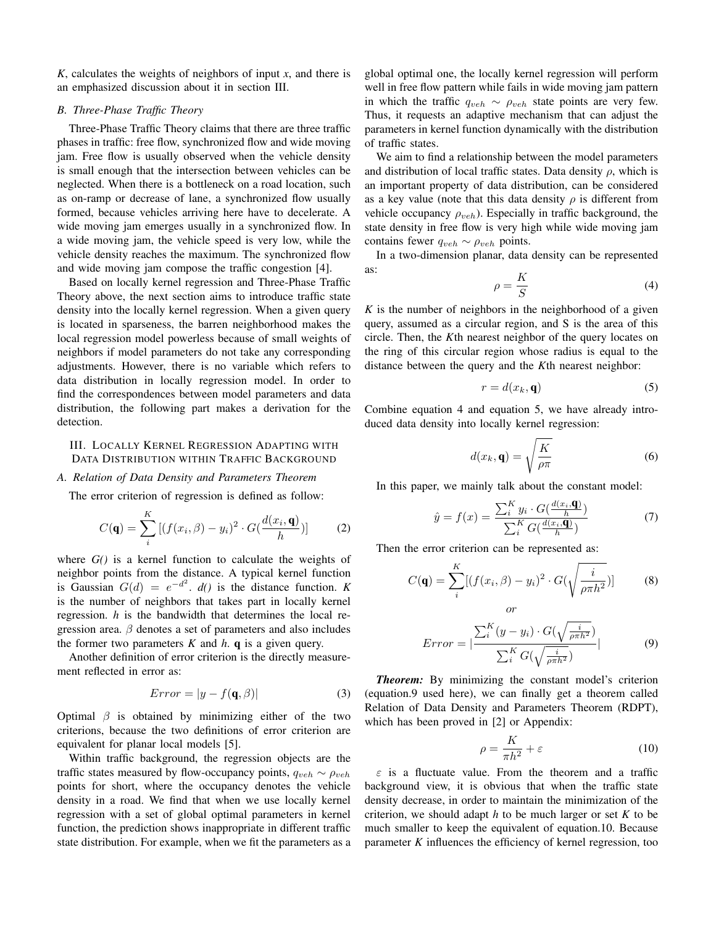*K*, calculates the weights of neighbors of input *x*, and there is an emphasized discussion about it in section III.

## *B. Three-Phase Traffic Theory*

Three-Phase Traffic Theory claims that there are three traffic phases in traffic: free flow, synchronized flow and wide moving jam. Free flow is usually observed when the vehicle density is small enough that the intersection between vehicles can be neglected. When there is a bottleneck on a road location, such as on-ramp or decrease of lane, a synchronized flow usually formed, because vehicles arriving here have to decelerate. A wide moving jam emerges usually in a synchronized flow. In a wide moving jam, the vehicle speed is very low, while the vehicle density reaches the maximum. The synchronized flow and wide moving jam compose the traffic congestion [4].

Based on locally kernel regression and Three-Phase Traffic Theory above, the next section aims to introduce traffic state density into the locally kernel regression. When a given query is located in sparseness, the barren neighborhood makes the local regression model powerless because of small weights of neighbors if model parameters do not take any corresponding adjustments. However, there is no variable which refers to data distribution in locally regression model. In order to find the correspondences between model parameters and data distribution, the following part makes a derivation for the detection.

## III. LOCALLY KERNEL REGRESSION ADAPTING WITH DATA DISTRIBUTION WITHIN TRAFFIC BACKGROUND

#### *A. Relation of Data Density and Parameters Theorem*

The error criterion of regression is defined as follow:

$$
C(\mathbf{q}) = \sum_{i}^{K} \left[ (f(x_i, \beta) - y_i)^2 \cdot G(\frac{d(x_i, \mathbf{q})}{h}) \right]
$$
 (2)

where *G()* is a kernel function to calculate the weights of neighbor points from the distance. A typical kernel function is Gaussian  $G(d) = e^{-d^2}$ . *d*(*)* is the distance function. *K* is the number of neighbors that takes part in locally kernel regression. *h* is the bandwidth that determines the local regression area.  $\beta$  denotes a set of parameters and also includes the former two parameters *K* and *h*. **q** is a given query.

Another definition of error criterion is the directly measurement reflected in error as:

$$
Error = |y - f(\mathbf{q}, \beta)| \tag{3}
$$

Optimal  $\beta$  is obtained by minimizing either of the two criterions, because the two definitions of error criterion are equivalent for planar local models [5].

Within traffic background, the regression objects are the traffic states measured by flow-occupancy points,  $q_{veh} \sim \rho_{veh}$ points for short, where the occupancy denotes the vehicle density in a road. We find that when we use locally kernel regression with a set of global optimal parameters in kernel function, the prediction shows inappropriate in different traffic state distribution. For example, when we fit the parameters as a global optimal one, the locally kernel regression will perform well in free flow pattern while fails in wide moving jam pattern in which the traffic  $q_{veh} \sim \rho_{veh}$  state points are very few. Thus, it requests an adaptive mechanism that can adjust the parameters in kernel function dynamically with the distribution of traffic states.

We aim to find a relationship between the model parameters and distribution of local traffic states. Data density  $\rho$ , which is an important property of data distribution, can be considered as a key value (note that this data density  $\rho$  is different from vehicle occupancy  $\rho_{veh}$ ). Especially in traffic background, the state density in free flow is very high while wide moving jam contains fewer  $q_{veh} \sim \rho_{veh}$  points.

In a two-dimension planar, data density can be represented as:

$$
\rho = \frac{K}{S} \tag{4}
$$

 $K$  is the number of neighbors in the neighborhood of a given query, assumed as a circular region, and S is the area of this circle. Then, the *K*th nearest neighbor of the query locates on the ring of this circular region whose radius is equal to the distance between the query and the *K*th nearest neighbor:

$$
r = d(x_k, \mathbf{q})\tag{5}
$$

Combine equation 4 and equation 5, we have already introduced data density into locally kernel regression:

$$
d(x_k, \mathbf{q}) = \sqrt{\frac{K}{\rho \pi}}
$$
 (6)

In this paper, we mainly talk about the constant model:

$$
\hat{y} = f(x) = \frac{\sum_{i}^{K} y_i \cdot G(\frac{d(x_i, \mathbf{q})}{h})}{\sum_{i}^{K} G(\frac{d(x_i, \mathbf{q})}{h})}
$$
(7)

Then the error criterion can be represented as:

$$
C(\mathbf{q}) = \sum_{i}^{K} [(f(x_i, \beta) - y_i)^2 \cdot G(\sqrt{\frac{i}{\rho \pi h^2}})]
$$
 (8)

$$
Error = |\frac{\sum_{i}^{K} (y - y_i) \cdot G(\sqrt{\frac{i}{\rho \pi h^2}})}{\sum_{i}^{K} G(\sqrt{\frac{i}{\rho \pi h^2}})}|
$$
(9)

*Theorem:* By minimizing the constant model's criterion (equation.9 used here), we can finally get a theorem called Relation of Data Density and Parameters Theorem (RDPT), which has been proved in [2] or Appendix:

$$
\rho = \frac{K}{\pi h^2} + \varepsilon \tag{10}
$$

 $\varepsilon$  is a fluctuate value. From the theorem and a traffic background view, it is obvious that when the traffic state density decrease, in order to maintain the minimization of the criterion, we should adapt *h* to be much larger or set *K* to be much smaller to keep the equivalent of equation.10. Because parameter *K* influences the efficiency of kernel regression, too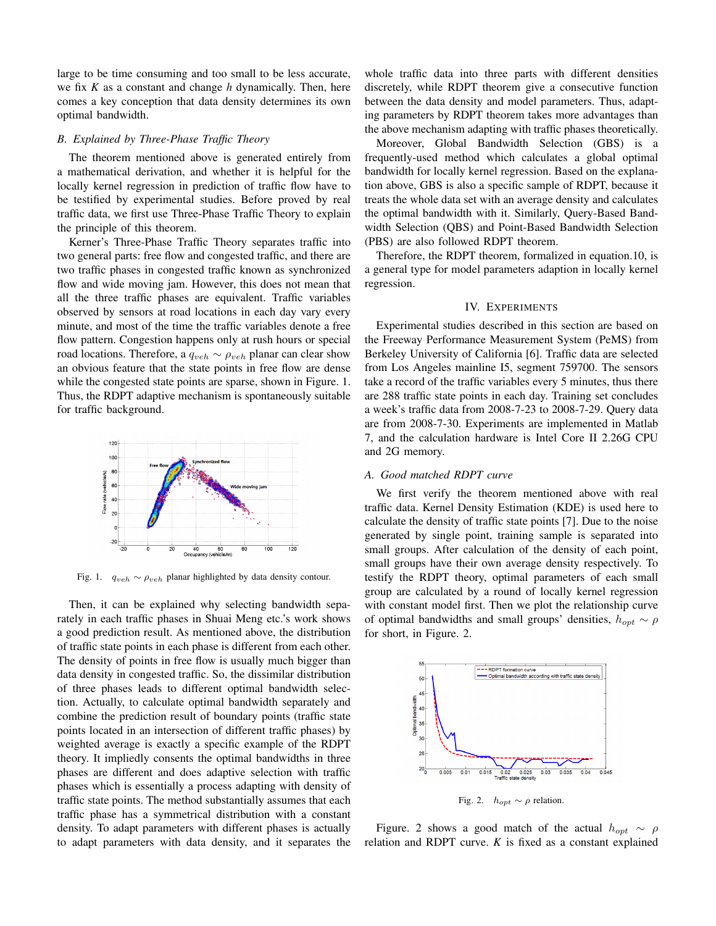large to be time consuming and too small to be less accurate, we fix *K* as a constant and change *h* dynamically. Then, here comes a key conception that data density determines its own optimal bandwidth.

## *B. Explained by Three-Phase Traffic Theory*

The theorem mentioned above is generated entirely from a mathematical derivation, and whether it is helpful for the locally kernel regression in prediction of traffic flow have to be testified by experimental studies. Before proved by real traffic data, we first use Three-Phase Traffic Theory to explain the principle of this theorem.

Kerner's Three-Phase Traffic Theory separates traffic into two general parts: free flow and congested traffic, and there are two traffic phases in congested traffic known as synchronized flow and wide moving jam. However, this does not mean that all the three traffic phases are equivalent. Traffic variables observed by sensors at road locations in each day vary every minute, and most of the time the traffic variables denote a free flow pattern. Congestion happens only at rush hours or special road locations. Therefore, a  $q_{veh} \sim \rho_{veh}$  planar can clear show an obvious feature that the state points in free flow are dense while the congested state points are sparse, shown in Figure. 1. Thus, the RDPT adaptive mechanism is spontaneously suitable for traffic background.



Fig. 1.  $q_{veh} \sim \rho_{veh}$  planar highlighted by data density contour.

Then, it can be explained why selecting bandwidth separately in each traffic phases in Shuai Meng etc.'s work shows a good prediction result. As mentioned above, the distribution of traffic state points in each phase is different from each other. The density of points in free flow is usually much bigger than data density in congested traffic. So, the dissimilar distribution of three phases leads to different optimal bandwidth selection. Actually, to calculate optimal bandwidth separately and combine the prediction result of boundary points (traffic state points located in an intersection of different traffic phases) by weighted average is exactly a specific example of the RDPT theory. It impliedly consents the optimal bandwidths in three phases are different and does adaptive selection with traffic phases which is essentially a process adapting with density of traffic state points. The method substantially assumes that each traffic phase has a symmetrical distribution with a constant density. To adapt parameters with different phases is actually to adapt parameters with data density, and it separates the

whole traffic data into three parts with different densities discretely, while RDPT theorem give a consecutive function between the data density and model parameters. Thus, adapting parameters by RDPT theorem takes more advantages than the above mechanism adapting with traffic phases theoretically.

Moreover, Global Bandwidth Selection (GBS) is a frequently-used method which calculates a global optimal bandwidth for locally kernel regression. Based on the explanation above, GBS is also a specific sample of RDPT, because it treats the whole data set with an average density and calculates the optimal bandwidth with it. Similarly, Query-Based Bandwidth Selection (QBS) and Point-Based Bandwidth Selection (PBS) are also followed RDPT theorem.

Therefore, the RDPT theorem, formalized in equation.10, is a general type for model parameters adaption in locally kernel regression.

## IV. EXPERIMENTS

Experimental studies described in this section are based on the Freeway Performance Measurement System (PeMS) from Berkeley University of California [6]. Traffic data are selected from Los Angeles mainline I5, segment 759700. The sensors take a record of the traffic variables every 5 minutes, thus there are 288 traffic state points in each day. Training set concludes a week's traffic data from 2008-7-23 to 2008-7-29. Query data are from 2008-7-30. Experiments are implemented in Matlab 7, and the calculation hardware is Intel Core II 2.26G CPU and 2G memory.

## *A. Good matched RDPT curve*

We first verify the theorem mentioned above with real traffic data. Kernel Density Estimation (KDE) is used here to calculate the density of traffic state points [7]. Due to the noise generated by single point, training sample is separated into small groups. After calculation of the density of each point, small groups have their own average density respectively. To testify the RDPT theory, optimal parameters of each small group are calculated by a round of locally kernel regression with constant model first. Then we plot the relationship curve of optimal bandwidths and small groups' densities,  $h_{opt} \sim \rho$ for short, in Figure. 2.



Fig. 2.  $h_{opt} \sim \rho$  relation.

Figure. 2 shows a good match of the actual  $h_{opt} \sim \rho$ relation and RDPT curve. *K* is fixed as a constant explained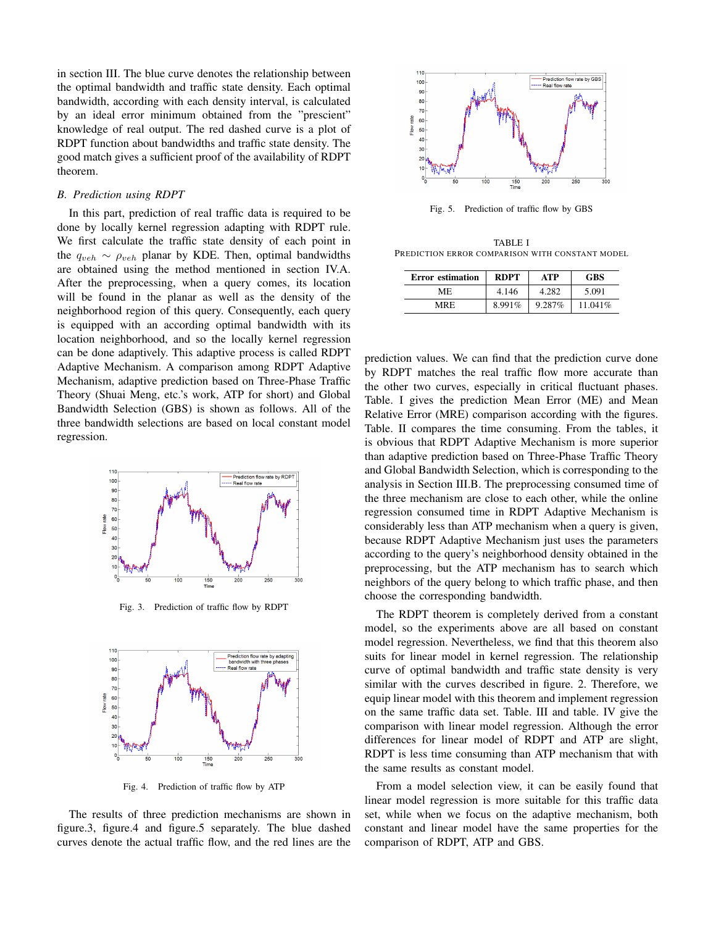in section III. The blue curve denotes the relationship between the optimal bandwidth and traffic state density. Each optimal bandwidth, according with each density interval, is calculated by an ideal error minimum obtained from the "prescient" knowledge of real output. The red dashed curve is a plot of RDPT function about bandwidths and traffic state density. The good match gives a sufficient proof of the availability of RDPT theorem.

## *B. Prediction using RDPT*

In this part, prediction of real traffic data is required to be done by locally kernel regression adapting with RDPT rule. We first calculate the traffic state density of each point in the  $q_{veh} \sim \rho_{veh}$  planar by KDE. Then, optimal bandwidths are obtained using the method mentioned in section IV.A. After the preprocessing, when a query comes, its location will be found in the planar as well as the density of the neighborhood region of this query. Consequently, each query is equipped with an according optimal bandwidth with its location neighborhood, and so the locally kernel regression can be done adaptively. This adaptive process is called RDPT Adaptive Mechanism. A comparison among RDPT Adaptive Mechanism, adaptive prediction based on Three-Phase Traffic Theory (Shuai Meng, etc.'s work, ATP for short) and Global Bandwidth Selection (GBS) is shown as follows. All of the three bandwidth selections are based on local constant model regression.



Fig. 3. Prediction of traffic flow by RDPT



Fig. 4. Prediction of traffic flow by ATP

The results of three prediction mechanisms are shown in figure.3, figure.4 and figure.5 separately. The blue dashed curves denote the actual traffic flow, and the red lines are the



Fig. 5. Prediction of traffic flow by GBS

TABLE I PREDICTION ERROR COMPARISON WITH CONSTANT MODEL

| <b>Error</b> estimation | <b>RDPT</b> | <b>ATP</b> | <b>GBS</b> |
|-------------------------|-------------|------------|------------|
| ME.                     | 4.146       | 4.282      | 5.091      |
| MRE.                    | 8.991%      | 9.287%     | 11.041\%   |

prediction values. We can find that the prediction curve done by RDPT matches the real traffic flow more accurate than the other two curves, especially in critical fluctuant phases. Table. I gives the prediction Mean Error (ME) and Mean Relative Error (MRE) comparison according with the figures. Table. II compares the time consuming. From the tables, it is obvious that RDPT Adaptive Mechanism is more superior than adaptive prediction based on Three-Phase Traffic Theory and Global Bandwidth Selection, which is corresponding to the analysis in Section III.B. The preprocessing consumed time of the three mechanism are close to each other, while the online regression consumed time in RDPT Adaptive Mechanism is considerably less than ATP mechanism when a query is given, because RDPT Adaptive Mechanism just uses the parameters according to the query's neighborhood density obtained in the preprocessing, but the ATP mechanism has to search which neighbors of the query belong to which traffic phase, and then choose the corresponding bandwidth.

The RDPT theorem is completely derived from a constant model, so the experiments above are all based on constant model regression. Nevertheless, we find that this theorem also suits for linear model in kernel regression. The relationship curve of optimal bandwidth and traffic state density is very similar with the curves described in figure. 2. Therefore, we equip linear model with this theorem and implement regression on the same traffic data set. Table. III and table. IV give the comparison with linear model regression. Although the error differences for linear model of RDPT and ATP are slight, RDPT is less time consuming than ATP mechanism that with the same results as constant model.

From a model selection view, it can be easily found that linear model regression is more suitable for this traffic data set, while when we focus on the adaptive mechanism, both constant and linear model have the same properties for the comparison of RDPT, ATP and GBS.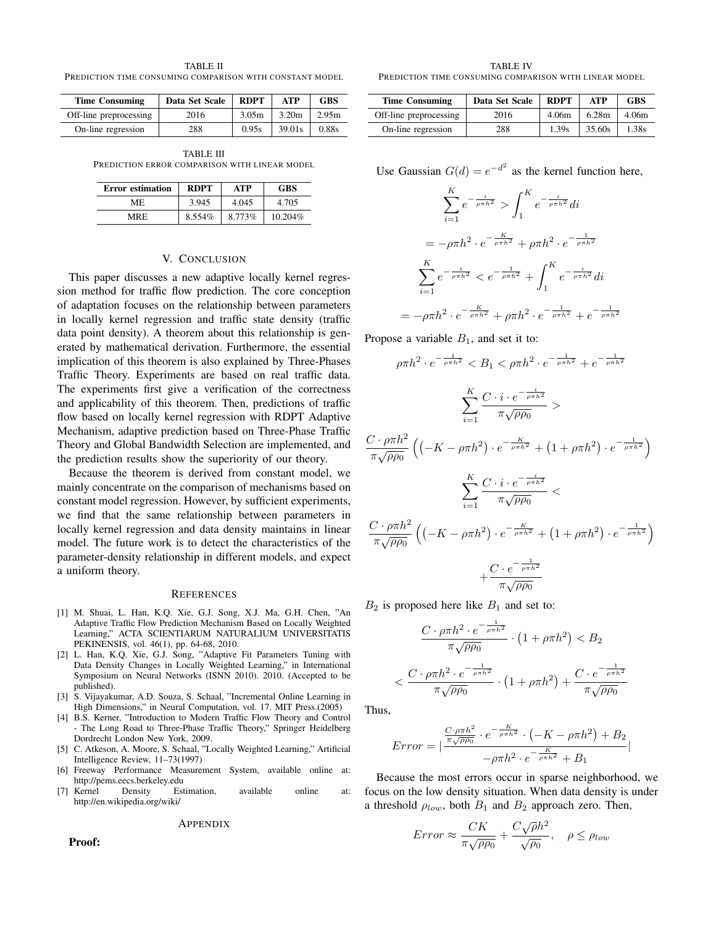TABLE II PREDICTION TIME CONSUMING COMPARISON WITH CONSTANT MODEL

| <b>Time Consuming</b>  | Data Set Scale | <b>RDPT</b> | <b>ATP</b> | <b>GBS</b> |
|------------------------|----------------|-------------|------------|------------|
| Off-line preprocessing | 2016           | 3.05m       | 3.20m      | 2.95m      |
| On-line regression     | 288            | 0.95s       | 39.01s     | 0.88s      |

TABLE III PREDICTION ERROR COMPARISON WITH LINEAR MODEL

| <b>Error</b> estimation | <b>RDPT</b> | <b>ATP</b> | <b>GBS</b> |
|-------------------------|-------------|------------|------------|
| MF.                     | 3.945       | 4.045      | 4.705      |
| MRE                     | 8.554%      | 8.773%     | 10.204%    |

## V. CONCLUSION

This paper discusses a new adaptive locally kernel regression method for traffic flow prediction. The core conception of adaptation focuses on the relationship between parameters in locally kernel regression and traffic state density (traffic data point density). A theorem about this relationship is generated by mathematical derivation. Furthermore, the essential implication of this theorem is also explained by Three-Phases Traffic Theory. Experiments are based on real traffic data. The experiments first give a verification of the correctness and applicability of this theorem. Then, predictions of traffic flow based on locally kernel regression with RDPT Adaptive Mechanism, adaptive prediction based on Three-Phase Traffic Theory and Global Bandwidth Selection are implemented, and the prediction results show the superiority of our theory.

Because the theorem is derived from constant model, we mainly concentrate on the comparison of mechanisms based on constant model regression. However, by sufficient experiments, we find that the same relationship between parameters in locally kernel regression and data density maintains in linear model. The future work is to detect the characteristics of the parameter-density relationship in different models, and expect a uniform theory.

#### **REFERENCES**

- [1] M. Shuai, L. Han, K.Q. Xie, G.J. Song, X.J. Ma, G.H. Chen, "An Adaptive Traffic Flow Prediction Mechanism Based on Locally Weighted Learning," ACTA SCIENTIARUM NATURALIUM UNIVERSITATIS PEKINENSIS, vol. 46(1), pp. 64-68, 2010.
- [2] L. Han, K.Q. Xie, G.J. Song, "Adaptive Fit Parameters Tuning with Data Density Changes in Locally Weighted Learning," in International Symposium on Neural Networks (ISNN 2010). 2010. (Accepted to be published).
- [3] S. Vijayakumar, A.D. Souza, S. Schaal, "Incremental Online Learning in High Dimensions," in Neural Computation, vol. 17. MIT Press.(2005)
- [4] B.S. Kerner, "Introduction to Modern Traffic Flow Theory and Control - The Long Road to Three-Phase Traffic Theory," Springer Heidelberg Dordrecht London New York, 2009.
- [5] C. Atkeson, A. Moore, S. Schaal, "Locally Weighted Learning," Artificial Intelligence Review, 11–73(1997)
- [6] Freeway Performance Measurement System, available online at: http://pems.eecs.berkeley.edu
- [7] Kernel Density Estimation, available online at: http://en.wikipedia.org/wiki/

#### APPENDIX

**Proof:**

TABLE IV PREDICTION TIME CONSUMING COMPARISON WITH LINEAR MODEL

| <b>Time Consuming</b>  | Data Set Scale | <b>RDPT</b> | <b>ATP</b> | <b>GBS</b> |
|------------------------|----------------|-------------|------------|------------|
| Off-line preprocessing | 2016           | 4.06m       | 6.28m      | 4.06m      |
| On-line regression     | 288            | 1.39s       | 35.60s     | 1.38s      |

Use Gaussian  $G(d) = e^{-d^2}$  as the kernel function here,

$$
\sum_{i=1}^{K} e^{-\frac{i}{\rho \pi h^2}} > \int_{1}^{K} e^{-\frac{i}{\rho \pi h^2}} di
$$
  
=  $-\rho \pi h^2 \cdot e^{-\frac{K}{\rho \pi h^2}} + \rho \pi h^2 \cdot e^{-\frac{1}{\rho \pi h^2}}$   

$$
\sum_{i=1}^{K} e^{-\frac{i}{\rho \pi h^2}} < e^{-\frac{1}{\rho \pi h^2}} + \int_{1}^{K} e^{-\frac{i}{\rho \pi h^2}} di
$$
  
=  $-\rho \pi h^2 \cdot e^{-\frac{K}{\rho \pi h^2}} + \rho \pi h^2 \cdot e^{-\frac{1}{\rho \pi h^2}} + e^{-\frac{1}{\rho \pi h^2}}$ 

Propose a variable  $B_1$ , and set it to:

$$
\rho \pi h^2 \cdot e^{-\frac{1}{\rho \pi h^2}} < B_1 < \rho \pi h^2 \cdot e^{-\frac{1}{\rho \pi h^2}} + e^{-\frac{1}{\rho \pi h^2}}
$$
\n
$$
\sum_{i=1}^K \frac{C \cdot i \cdot e^{-\frac{i}{\rho \pi h^2}}}{\pi \sqrt{\rho \rho_0}} > \sum_{i=1}^K \frac{C \cdot i \cdot e^{-\frac{k}{\rho \pi h^2}}}{\pi \sqrt{\rho \rho_0}} \left( \left( -K - \rho \pi h^2 \right) \cdot e^{-\frac{K}{\rho \pi h^2}} + \left( 1 + \rho \pi h^2 \right) \cdot e^{-\frac{1}{\rho \pi h^2}} \right)
$$
\n
$$
\sum_{i=1}^K \frac{C \cdot i \cdot e^{-\frac{i}{\rho \pi h^2}}}{\pi \sqrt{\rho \rho_0}} < \frac{C \cdot \rho \pi h^2}{\pi \sqrt{\rho \rho_0}} \left( \left( -K - \rho \pi h^2 \right) \cdot e^{-\frac{K}{\rho \pi h^2}} + \left( 1 + \rho \pi h^2 \right) \cdot e^{-\frac{1}{\rho \pi h^2}} \right)
$$
\n
$$
+ \frac{C \cdot e^{-\frac{1}{\rho \pi h^2}}}{\pi \sqrt{\rho \rho_0}}
$$

 $B_2$  is proposed here like  $B_1$  and set to:

$$
\frac{C \cdot \rho \pi h^2 \cdot e^{-\frac{1}{\rho \pi h^2}}}{\pi \sqrt{\rho \rho_0}} \cdot \left(1 + \rho \pi h^2\right) < B_2
$$
\n
$$
< \frac{C \cdot \rho \pi h^2 \cdot e^{-\frac{1}{\rho \pi h^2}}}{\pi \sqrt{\rho \rho_0}} \cdot \left(1 + \rho \pi h^2\right) + \frac{C \cdot e^{-\frac{1}{\rho \pi h^2}}}{\pi \sqrt{\rho \rho_0}}
$$

Thus,

$$
Error = \left| \frac{\frac{C \cdot \rho \pi h^2}{\pi \sqrt{\rho \rho_0}} \cdot e^{-\frac{K}{\rho \pi h^2}} \cdot \left( -K - \rho \pi h^2 \right) + B_2}{-\rho \pi h^2 \cdot e^{-\frac{K}{\rho \pi h^2}} + B_1} \right|
$$

∣

Because the most errors occur in sparse neighborhood, we focus on the low density situation. When data density is under a threshold  $\rho_{low}$ , both  $B_1$  and  $B_2$  approach zero. Then,

$$
Error \approx \frac{CK}{\pi\sqrt{\rho\rho_0}} + \frac{C\sqrt{\rho}h^2}{\sqrt{\rho_0}}, \quad \rho \le \rho_{low}
$$